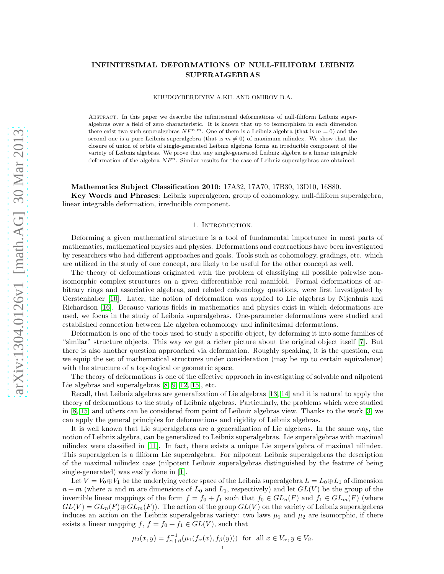# INFINITESIMAL DEFORMATIONS OF NULL-FILIFORM LEIBNIZ SUPERALGEBRAS

KHUDOYBERDIYEV A.KH. AND OMIROV B.A.

Abstract. In this paper we describe the infinitesimal deformations of null-filiform Leibniz superalgebras over a field of zero characteristic. It is known that up to isomorphism in each dimension there exist two such superalgebras  $N F^{n,m}$ . One of them is a Leibniz algebra (that is  $m = 0$ ) and the second one is a pure Leibniz superalgebra (that is  $m \neq 0$ ) of maximum nilindex. We show that the closure of union of orbits of single-generated Leibniz algebras forms an irreducible component of the variety of Leibniz algebras. We prove that any single-generated Leibniz algebra is a linear integrable deformation of the algebra  $N_F^n$ . Similar results for the case of Leibniz superalgebras are obtained.

### Mathematics Subject Classification 2010: 17A32, 17A70, 17B30, 13D10, 16S80.

Key Words and Phrases: Leibniz superalgebra, group of cohomology, null-filiform superalgebra, linear integrable deformation, irreducible component.

### 1. INTRODUCTION.

Deforming a given mathematical structure is a tool of fundamental importance in most parts of mathematics, mathematical physics and physics. Deformations and contractions have been investigated by researchers who had different approaches and goals. Tools such as cohomology, gradings, etc. which are utilized in the study of one concept, are likely to be useful for the other concept as well.

The theory of deformations originated with the problem of classifying all possible pairwise nonisomorphic complex structures on a given differentiable real manifold. Formal deformations of arbitrary rings and associative algebras, and related cohomology questions, were first investigated by Gerstenhaber [\[10\]](#page-10-0). Later, the notion of deformation was applied to Lie algebras by Nijenhuis and Richardson [\[16\]](#page-10-1). Because various fields in mathematics and physics exist in which deformations are used, we focus in the study of Leibniz superalgebras. One-parameter deformations were studied and established connection between Lie algebra cohomology and infinitesimal deformations.

Deformation is one of the tools used to study a specific object, by deforming it into some families of "similar" structure objects. This way we get a richer picture about the original object itself [\[7\]](#page-10-2). But there is also another question approached via deformation. Roughly speaking, it is the question, can we equip the set of mathematical structures under consideration (may be up to certain equivalence) with the structure of a topological or geometric space.

The theory of deformations is one of the effective approach in investigating of solvable and nilpotent Lie algebras and superalgebras [\[8,](#page-10-3) [9,](#page-10-4) [12,](#page-10-5) [15\]](#page-10-6), etc.

Recall, that Leibniz algebras are generalization of Lie algebras [13, 14] and it is natural to apply the theory of deformations to the study of Leibniz algebras. Particularly, the problems which were studied in [\[8,](#page-10-3) [15\]](#page-10-6) and others can be considered from point of Leibniz algebras view. Thanks to the work [\[3\]](#page-10-7) we can apply the general principles for deformations and rigidity of Leibniz algebras.

It is well known that Lie superalgebras are a generalization of Lie algebras. In the same way, the notion of Leibniz algebra, can be generalized to Leibniz superalgebras. Lie superalgebras with maximal nilindex were classified in [\[11\]](#page-10-8). In fact, there exists a unique Lie superalgebra of maximal nilindex. This superalgebra is a filiform Lie superalgebra. For nilpotent Leibniz superalgebras the description of the maximal nilindex case (nilpotent Leibniz superalgebras distinguished by the feature of being single-generated) was easily done in [\[1\]](#page-10-9).

Let  $V = V_0 \oplus V_1$  be the underlying vector space of the Leibniz superalgebra  $L = L_0 \oplus L_1$  of dimension  $n + m$  (where n and m are dimensions of  $L_0$  and  $L_1$ , respectively) and let  $GL(V)$  be the group of the invertible linear mappings of the form  $f = f_0 + f_1$  such that  $f_0 \in GL_n(F)$  and  $f_1 \in GL_m(F)$  (where  $GL(V) = GL_n(F) \oplus GL_m(F)$ . The action of the group  $GL(V)$  on the variety of Leibniz superalgebras induces an action on the Leibniz superalgebras variety: two laws  $\mu_1$  and  $\mu_2$  are isomorphic, if there exists a linear mapping  $f, f = f_0 + f_1 \in GL(V)$ , such that

$$
\mu_2(x, y) = f_{\alpha + \beta}^{-1}(\mu_1(f_{\alpha}(x), f_{\beta}(y))) \text{ for all } x \in V_{\alpha}, y \in V_{\beta}.
$$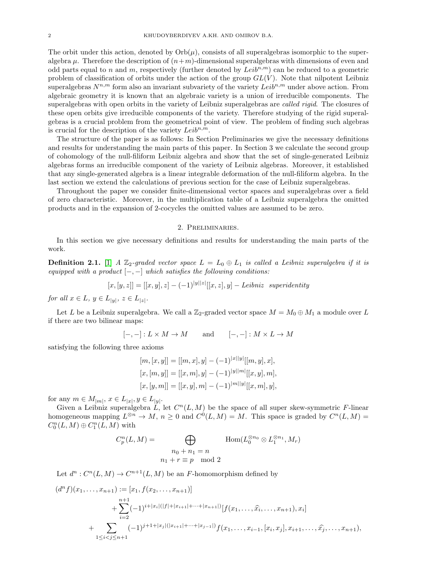The orbit under this action, denoted by  $Orb(\mu)$ , consists of all superalgebras isomorphic to the superalgebra  $\mu$ . Therefore the description of  $(n+m)$ -dimensional superalgebras with dimensions of even and odd parts equal to n and m, respectively (further denoted by  $Leib^{n,m}$ ) can be reduced to a geometric problem of classification of orbits under the action of the group  $GL(V)$ . Note that nilpotent Leibniz superalgebras  $N^{n,m}$  form also an invariant subvariety of the variety  $Leib^{n,m}$  under above action. From algebraic geometry it is known that an algebraic variety is a union of irreducible components. The superalgebras with open orbits in the variety of Leibniz superalgebras are *called rigid*. The closures of these open orbits give irreducible components of the variety. Therefore studying of the rigid superalgebras is a crucial problem from the geometrical point of view. The problem of finding such algebras is crucial for the description of the variety  $Leib^{n,m}$ .

The structure of the paper is as follows: In Section Preliminaries we give the necessary definitions and results for understanding the main parts of this paper. In Section 3 we calculate the second group of cohomology of the null-filiform Leibniz algebra and show that the set of single-generated Leibniz algebras forms an irreducible component of the variety of Leibniz algebras. Moreover, it established that any single-generated algebra is a linear integrable deformation of the null-filiform algebra. In the last section we extend the calculations of previous section for the case of Leibniz superalgebras.

Throughout the paper we consider finite-dimensional vector spaces and superalgebras over a field of zero characteristic. Moreover, in the multiplication table of a Leibniz superalgebra the omitted products and in the expansion of 2-cocycles the omitted values are assumed to be zero.

# 2. Preliminaries.

In this section we give necessary definitions and results for understanding the main parts of the work.

**Definition 2.1.** [\[1\]](#page-10-9) A  $\mathbb{Z}_2$ -graded vector space  $L = L_0 \oplus L_1$  is called a Leibniz superalgebra if it is equipped with a product  $[-,-]$  which satisfies the following conditions:

$$
[x,[y,z]] = [[x,y],z] - (-1)^{|y||z|}[[x,z],y] - Leibniz \ superidentity
$$

for all  $x \in L$ ,  $y \in L_{|y|}$ ,  $z \in L_{|z|}$ .

Let L be a Leibniz superalgebra. We call a  $\mathbb{Z}_2$ -graded vector space  $M = M_0 \oplus M_1$  a module over L if there are two bilinear maps:

$$
[-,-]: L \times M \to M
$$
 and  $[-,-]: M \times L \to M$ 

satisfying the following three axioms

$$
[m, [x, y]] = [[m, x], y] - (-1)^{|x||y|}[[m, y], x],
$$
  
\n
$$
[x, [m, y]] = [[x, m], y] - (-1)^{|y||m|}[[x, y], m],
$$
  
\n
$$
[x, [y, m]] = [[x, y], m] - (-1)^{|m||y|}[[x, m], y],
$$

for any  $m \in M_{|m|}$ ,  $x \in L_{|x|}$ ,  $y \in L_{|y|}$ .

Given a Leibniz superalgebra  $\tilde{L}$ , let  $C^n(L, M)$  be the space of all super skew-symmetric F-linear homogeneous mapping  $L^{\otimes n} \to M$ ,  $n \geq 0$  and  $C^0(L, M) = M$ . This space is graded by  $C^n(L, M) =$  $C_0^n(L, M) \oplus C_1^n(L, M)$  with

$$
C_p^n(L, M) = \bigoplus_{\begin{array}{l} n_0 + n_1 = n \\ n_1 + r \equiv p \mod 2 \end{array}} \text{Hom}(L_0^{\otimes n_0} \otimes L_1^{\otimes n_1}, M_r)
$$

Let  $d^n: C^n(L, M) \to C^{n+1}(L, M)$  be an F-homomorphism defined by

$$
(d^n f)(x_1, \ldots, x_{n+1}) := [x_1, f(x_2, \ldots, x_{n+1})]
$$
  
+ 
$$
\sum_{i=2}^{n+1} (-1)^{i+|x_i|(|f|+|x_{i+1}|+\cdots+|x_{n+1}|)} [f(x_1, \ldots, \hat{x_i}, \ldots, x_{n+1}), x_i]
$$
  
+ 
$$
\sum_{1 \le i < j \le n+1} (-1)^{j+1+|x_j|(|x_{i+1}|+\cdots+|x_{j-1}|)} f(x_1, \ldots, x_{i-1}, [x_i, x_j], x_{i+1}, \ldots, \hat{x_j}, \ldots, x_{n+1}),
$$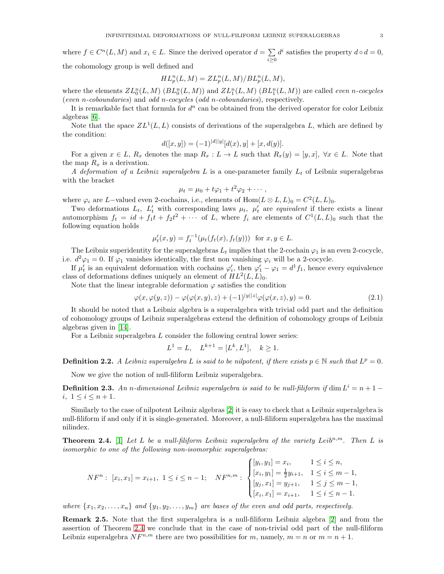where  $f \in C^n(L, M)$  and  $x_i \in L$ . Since the derived operator  $d = \sum_{i=1}^{\infty} d_i$  $i \geq 0$  $d^i$  satisfies the property  $d \circ d = 0$ , the cohomology group is well defined and

$$
HL_p^n(L, M) = ZL_p^n(L, M)/BL_p^n(L, M),
$$

where the elements  $ZL_0^n(L,M)$   $(BL_0^n(L,M))$  and  $ZL_1^n(L,M)$   $(BL_1^n(L,M))$  are called *even n-cocycles* (even n-coboundaries) and odd n-cocycles (odd n-coboundaries), respectively.

It is remarkable fact that formula for  $d^n$  can be obtained from the derived operator for color Leibniz algebras [\[6\]](#page-10-10).

Note that the space  $ZL^1(L, L)$  consists of derivations of the superalgebra L, which are defined by the condition:

$$
d([x, y]) = (-1)^{|d||y|} [d(x), y] + [x, d(y)].
$$

For a given  $x \in L$ ,  $R_x$  denotes the map  $R_x : L \to L$  such that  $R_x(y) = [y, x]$ ,  $\forall x \in L$ . Note that the map  $R_x$  is a derivation.

A deformation of a Leibniz superalgebra L is a one-parameter family  $L_t$  of Leibniz superalgebras with the bracket

$$
\mu_t = \mu_0 + t\varphi_1 + t^2\varphi_2 + \cdots,
$$

where  $\varphi_i$  are L-valued even 2-cochains, i.e., elements of Hom $(L \otimes L, L)_0 = C^2(L, L)_0$ .

Two deformations  $L_t$ ,  $L'_t$  with corresponding laws  $\mu_t$ ,  $\mu'_t$  are *equivalent* if there exists a linear automorphism  $f_t = id + f_1t + f_2t^2 + \cdots$  of L, where  $f_i$  are elements of  $C^1(L, L)_0$  such that the following equation holds

$$
\mu'_t(x, y) = f_t^{-1}(\mu_t(f_t(x), f_t(y)))
$$
 for  $x, y \in L$ .

The Leibniz superidentity for the superalgebras  $L_t$  implies that the 2-cochain  $\varphi_1$  is an even 2-cocycle, i.e.  $d^2\varphi_1 = 0$ . If  $\varphi_1$  vanishes identically, the first non vanishing  $\varphi_i$  will be a 2-cocycle.

If  $\mu'_t$  is an equivalent deformation with cochains  $\varphi'_t$ , then  $\varphi'_1 - \varphi_1 = d^1 f_1$ , hence every equivalence class of deformations defines uniquely an element of  $HL^2(L, L)_0$ .

Note that the linear integrable deformation  $\varphi$  satisfies the condition

<span id="page-2-1"></span>
$$
\varphi(x,\varphi(y,z)) - \varphi(\varphi(x,y),z) + (-1)^{|y||z|}\varphi(\varphi(x,z),y) = 0.
$$
\n(2.1)

It should be noted that a Leibniz algebra is a superalgebra with trivial odd part and the definition of cohomology groups of Leibniz superalgebras extend the definition of cohomology groups of Leibniz algebras given in [14].

For a Leibniz superalgebra L consider the following central lower series:

$$
L^1 = L, \quad L^{k+1} = [L^k, L^1], \quad k \ge 1.
$$

**Definition 2.2.** A Leibniz superalgebra L is said to be nilpotent, if there exists  $p \in \mathbb{N}$  such that  $L^p = 0$ .

Now we give the notion of null-filiform Leibniz superalgebra.

**Definition 2.3.** An n-dimensional Leibniz superalgebra is said to be null-filiform if dim  $L^i = n + 1$ i,  $1 \leq i \leq n+1$ .

Similarly to the case of nilpotent Leibniz algebras [\[2\]](#page-10-11) it is easy to check that a Leibniz superalgebra is null-filiform if and only if it is single-generated. Moreover, a null-filiform superalgebra has the maximal nilindex.

<span id="page-2-0"></span>**Theorem 2.4.** [\[1\]](#page-10-9) Let L be a null-filiform Leibniz superalgebra of the variety Leib<sup>n,m</sup>. Then L is isomorphic to one of the following non-isomorphic superalgebras:

$$
NF^n: [x_i, x_1] = x_{i+1}, 1 \le i \le n-1; \quad NF^{n,m}: \begin{cases} [y_i, y_1] = x_i, & 1 \le i \le n, \\ [x_i, y_1] = \frac{1}{2}y_{i+1}, & 1 \le i \le m-1, \\ [y_j, x_1] = y_{j+1}, & 1 \le j \le m-1, \\ [x_i, x_1] = x_{i+1}, & 1 \le i \le n-1. \end{cases}
$$

where  $\{x_1, x_2, \ldots, x_n\}$  and  $\{y_1, y_2, \ldots, y_m\}$  are bases of the even and odd parts, respectively.

Remark 2.5. Note that the first superalgebra is a null-filiform Leibniz algebra [\[2\]](#page-10-11) and from the assertion of Theorem [2.4](#page-2-0) we conclude that in the case of non-trivial odd part of the null-filiform Leibniz superalgebra  $N F^{n,m}$  there are two possibilities for m, namely,  $m = n$  or  $m = n + 1$ .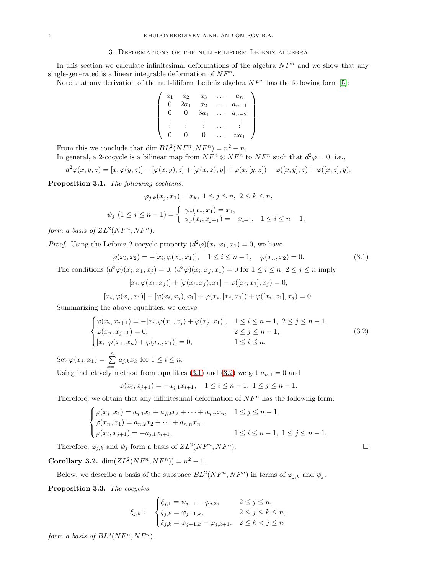# 3. Deformations of the null-filiform Leibniz algebra

In this section we calculate infinitesimal deformations of the algebra  $NF<sup>n</sup>$  and we show that any single-generated is a linear integrable deformation of  $N_F^n$ .

Note that any derivation of the null-filiform Leibniz algebra  $NF<sup>n</sup>$  has the following form [\[5\]](#page-10-12):

$$
\left(\begin{array}{cccc} a_1 & a_2 & a_3 & \dots & a_n \\ 0 & 2a_1 & a_2 & \dots & a_{n-1} \\ 0 & 0 & 3a_1 & \dots & a_{n-2} \\ \vdots & \vdots & \vdots & \dots & \vdots \\ 0 & 0 & 0 & \dots & na_1 \end{array}\right)
$$

From this we conclude that  $\dim BL^2(NF^n, NF^n) = n^2 - n$ .

In general, a 2-cocycle is a bilinear map from  $N F^n \otimes N F^n$  to  $N F^n$  such that  $d^2 \varphi = 0$ , i.e.,

$$
d^{2}\varphi(x, y, z) = [x, \varphi(y, z)] - [\varphi(x, y), z] + [\varphi(x, z), y] + \varphi(x, [y, z]) - \varphi([x, y], z) + \varphi([x, z], y).
$$

Proposition 3.1. The following cochains:

$$
\varphi_{j,k}(x_j, x_1) = x_k, \ 1 \le j \le n, \ 2 \le k \le n,
$$
  

$$
\psi_j \ (1 \le j \le n-1) = \begin{cases} \psi_j(x_j, x_1) = x_1, \\ \psi_j(x_i, x_{j+1}) = -x_{i+1}, \ 1 \le i \le n-1, \end{cases}
$$

form a basis of  $ZL^2(NF^n, NF^n)$ .

*Proof.* Using the Leibniz 2-cocycle property  $(d^2\varphi)(x_i, x_1, x_1) = 0$ , we have

<span id="page-3-0"></span>
$$
\varphi(x_i, x_2) = -[x_i, \varphi(x_1, x_1)], \quad 1 \le i \le n - 1, \quad \varphi(x_n, x_2) = 0.
$$
\n(3.1)

.

The conditions  $(d^2\varphi)(x_i, x_1, x_j) = 0$ ,  $(d^2\varphi)(x_i, x_j, x_1) = 0$  for  $1 \le i \le n$ ,  $2 \le j \le n$  imply

$$
[x_i, \varphi(x_1, x_j)] + [\varphi(x_i, x_j), x_1] - \varphi([x_i, x_1], x_j) = 0,
$$

$$
[x_i, \varphi(x_j, x_1)] - [\varphi(x_i, x_j), x_1] + \varphi(x_i, [x_j, x_1]) + \varphi([x_i, x_1], x_j) = 0.
$$

Summarizing the above equalities, we derive

<span id="page-3-1"></span>
$$
\begin{cases}\n\varphi(x_i, x_{j+1}) = -[x_i, \varphi(x_1, x_j) + \varphi(x_j, x_1)], & 1 \le i \le n-1, \ 2 \le j \le n-1, \\
\varphi(x_n, x_{j+1}) = 0, & 2 \le j \le n-1, \\
[x_i, \varphi(x_1, x_n) + \varphi(x_n, x_1)] = 0, & 1 \le i \le n.\n\end{cases}
$$
\n(3.2)

Set  $\varphi(x_j, x_1) = \sum_{k=1}^n a_{j,k} x_k$  for  $1 \le i \le n$ .

Using inductively method from equalities [\(3.1\)](#page-3-0) and [\(3.2\)](#page-3-1) we get  $a_{n,1} = 0$  and

$$
\varphi(x_i, x_{j+1}) = -a_{j,1}x_{i+1}, \quad 1 \le i \le n-1, \ 1 \le j \le n-1.
$$

Therefore, we obtain that any infinitesimal deformation of  $NF<sup>n</sup>$  has the following form:

$$
\begin{cases}\n\varphi(x_j, x_1) = a_{j,1}x_1 + a_{j,2}x_2 + \dots + a_{j,n}x_n, & 1 \le j \le n-1 \\
\varphi(x_n, x_1) = a_{n,2}x_2 + \dots + a_{n,n}x_n, & 1 \le j \le n-1, \\
\varphi(x_i, x_{j+1}) = -a_{j,1}x_{i+1}, & 1 \le i \le n-1, 1 \le j \le n-1.\n\end{cases}
$$

Therefore,  $\varphi_{j,k}$  and  $\psi_j$  form a basis of  $ZL^2(NF^n, NF^n)$ 

**Corollary 3.2.**  $\dim(ZL^2(NF^n, NF^n)) = n^2 - 1.$ 

Below, we describe a basis of the subspace  $BL^2(NF^n, NF^n)$  in terms of  $\varphi_{j,k}$  and  $\psi_j$ .

<span id="page-3-2"></span>Proposition 3.3. The cocycles

$$
\xi_{j,k}: \quad \begin{cases} \xi_{j,1} = \psi_{j-1} - \varphi_{j,2}, & 2 \leq j \leq n, \\ \xi_{j,k} = \varphi_{j-1,k}, & 2 \leq j \leq k \leq n, \\ \xi_{j,k} = \varphi_{j-1,k} - \varphi_{j,k+1}, & 2 \leq k < j \leq n \end{cases}
$$

form a basis of  $BL^2(NF^n, NF^n)$ .

 $\Box$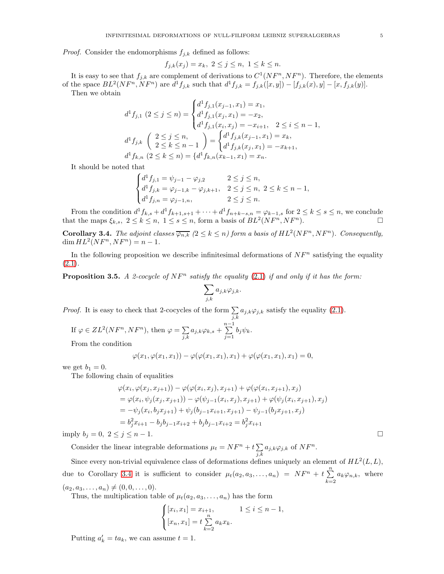*Proof.* Consider the endomorphisms  $f_{j,k}$  defined as follows:

$$
f_{j,k}(x_j) = x_k, \ 2 \le j \le n, \ 1 \le k \le n.
$$

It is easy to see that  $f_{j,k}$  are complement of derivations to  $C^1(NF^n, NF^n)$ . Therefore, the elements of the space  $BL^2(NF^n, NF^n)$  are  $d^1f_{j,k}$  such that  $d^1f_{j,k} = f_{j,k}([x,y]) - [f_{j,k}(x), y] - [x, f_{j,k}(y)].$ 

Then we obtain

$$
d^1 f_{j,1} (2 \le j \le n) = \begin{cases} d^1 f_{j,1}(x_{j-1}, x_1) = x_1, \\ d^1 f_{j,1}(x_j, x_1) = -x_2, \\ d^1 f_{j,1}(x_i, x_j) = -x_{i+1}, 2 \le i \le n-1, \\ d^1 f_{j,k} \left( \begin{array}{c} 2 \le j \le n, \\ 2 \le k \le n-1 \end{array} \right) = \begin{cases} d^1 f_{j,k}(x_{j-1}, x_1) = x_k, \\ d^1 f_{j,k}(x_j, x_1) = -x_{k+1}, \\ d^1 f_{k,n} (2 \le k \le n) = \{ d^1 f_{k,n}(x_{k-1}, x_1) = x_n. \end{cases}
$$

It should be noted that

$$
\begin{cases} d^1f_{j,1}=\psi_{j-1}-\varphi_{j,2} & 2\leq j\leq n,\\ d^1f_{j,k}=\varphi_{j-1,k}-\varphi_{j,k+1}, & 2\leq j\leq n,\ 2\leq k\leq n-1,\\ d^1f_{j,n}=\varphi_{j-1,n}, & 2\leq j\leq n. \end{cases}
$$

From the condition  $d^1f_{k,s} + d^1f_{k+1,s+1} + \cdots + d^1f_{n+k-s,n} = \varphi_{k-1,s}$  for  $2 \leq k \leq s \leq n$ , we conclude that the maps  $\xi_{k,s}$ ,  $2 \le k \le n$ ,  $1 \le s \le n$ , form a basis of  $BL^2(NF^n, NF^n)$ .

<span id="page-4-0"></span>**Corollary 3.4.** The adjoint classes  $\overline{\varphi_{n,k}}$  ( $2 \le k \le n$ ) form a basis of  $HL^2(NF^n, NF^n)$ . Consequently,  $\dim HL^2(NF^n, NF^n) = n - 1.$ 

In the following proposition we describe infinitesimal deformations of  $NF<sup>n</sup>$  satisfying the equality  $(2.1).$  $(2.1).$ 

<span id="page-4-1"></span>**Proposition 3.5.** A 2-cocycle of  $NF^n$  satisfy the equality [\(2.1\)](#page-2-1) if and only if it has the form:

$$
\sum_{j,k} a_{j,k} \varphi_{j,k}.
$$

*Proof.* It is easy to check that 2-cocycles of the form  $\sum$  $\sum_{j,k} a_{j,k} \varphi_{j,k}$  satisfy the equality [\(2.1\)](#page-2-1).

If 
$$
\varphi \in ZL^2(NF^n, NF^n)
$$
, then  $\varphi = \sum_{j,k} a_{j,k} \varphi_{k,s} + \sum_{j=1}^{n-1} b_j \psi_k$ .

From the condition

$$
\varphi(x_1, \varphi(x_1, x_1)) - \varphi(\varphi(x_1, x_1), x_1) + \varphi(\varphi(x_1, x_1), x_1) = 0,
$$

we get  $b_1 = 0$ .

The following chain of equalities

$$
\varphi(x_i, \varphi(x_j, x_{j+1})) - \varphi(\varphi(x_i, x_j), x_{j+1}) + \varphi(\varphi(x_i, x_{j+1}), x_j)
$$
  
= 
$$
\varphi(x_i, \psi_j(x_j, x_{j+1})) - \varphi(\psi_{j-1}(x_i, x_j), x_{j+1}) + \varphi(\psi_j(x_i, x_{j+1}), x_j)
$$
  
= 
$$
-\psi_j(x_i, b_j x_{j+1}) + \psi_j(b_{j-1} x_{i+1}, x_{j+1}) - \psi_{j-1}(b_j x_{j+1}, x_j)
$$
  
= 
$$
b_j^2 x_{i+1} - b_j b_{j-1} x_{i+2} + b_j b_{j-1} x_{i+2} = b_j^2 x_{i+1}
$$

imply  $b_j = 0, \ 2 \le j \le n - 1$ .

Consider the linear integrable deformations  $\mu_t = NF^n + t \sum$  $\sum_{j,k} a_{j,k} \varphi_{j,k}$  of  $N F^n$ .

Since every non-trivial equivalence class of deformations defines uniquely an element of  $HL^2(L, L)$ , due to Corollary [3.4](#page-4-0) it is sufficient to consider  $\mu_t(a_2, a_3, \ldots, a_n) = NF^n + t \sum_{i=1}^n$  $\sum_{k=2} a_k \varphi_{n,k}$ , where  $(a_2, a_3, \ldots, a_n) \neq (0, 0, \ldots, 0).$ 

Thus, the multiplication table of  $\mu_t(a_2, a_3, \ldots, a_n)$  has the form

$$
\begin{cases} [x_i, x_1] = x_{i+1}, & 1 \le i \le n-1, \\ [x_n, x_1] = t \sum_{k=2}^n a_k x_k. \end{cases}
$$

Putting  $a'_k = ta_k$ , we can assume  $t = 1$ .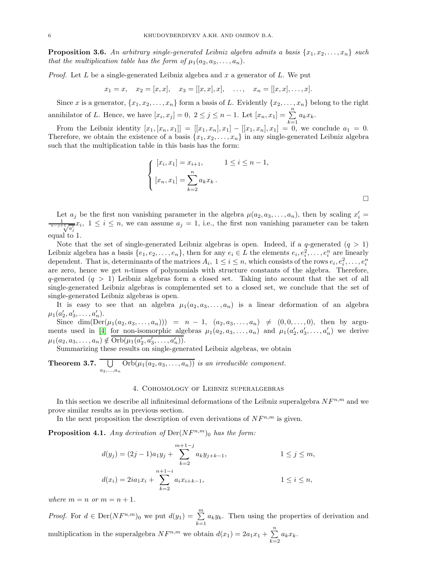**Proposition 3.6.** An arbitrary single-generated Leibniz algebra admits a basis  $\{x_1, x_2, \ldots, x_n\}$  such that the multiplication table has the form of  $\mu_1(a_2, a_3, \ldots, a_n)$ .

*Proof.* Let  $L$  be a single-generated Leibniz algebra and  $x$  a generator of  $L$ . We put

$$
x_1 = x
$$
,  $x_2 = [x, x]$ ,  $x_3 = [[x, x], x]$ , ...,  $x_n = [[x, x], ..., x]$ .

Since x is a generator,  $\{x_1, x_2, \ldots, x_n\}$  form a basis of L. Evidently  $\{x_2, \ldots, x_n\}$  belong to the right annihilator of L. Hence, we have  $[x_i, x_j] = 0, 2 \le j \le n - 1$ . Let  $[x_n, x_1] = \sum_{k=1}^{n} a_k x_k$ .

From the Leibniz identity  $[x_1, [x_n, x_1]] = [[x_1, x_n], x_1] - [[x_1, x_n], x_1] = 0$ , we conclude  $a_1 = 0$ . Therefore, we obtain the existence of a basis  $\{x_1, x_2, \ldots, x_n\}$  in any single-generated Leibniz algebra such that the multiplication table in this basis has the form:

$$
\begin{cases} [x_i, x_1] = x_{i+1}, & 1 \le i \le n-1, \\ [x_n, x_1] = \sum_{k=2}^n a_k x_k. \end{cases}
$$

Let  $a_j$  be the first non vanishing parameter in the algebra  $\mu(a_2, a_3, \ldots, a_n)$ , then by scaling  $x'_i =$  $\frac{1}{n-j+\sqrt{a_j^i}}x_i, 1 \leq i \leq n$ , we can assume  $a_j = 1$ , i.e., the first non vanishing parameter can be taken equal to 1.

Note that the set of single-generated Leibniz algebras is open. Indeed, if a q-generated  $(q > 1)$ Leibniz algebra has a basis  $\{e_1, e_2, \ldots, e_n\}$ , then for any  $e_i \in L$  the elements  $e_i, e_i^2, \ldots, e_i^n$  are linearly dependent. That is, determinants of the matrices  $A_i$ ,  $1 \leq i \leq n$ , which consists of the rows  $e_i, e_i^2, \ldots, e_i^n$ are zero, hence we get  $n$ -times of polynomials with structure constants of the algebra. Therefore, q-generated  $(q > 1)$  Leibniz algebras form a closed set. Taking into account that the set of all single-generated Leibniz algebras is complemented set to a closed set, we conclude that the set of single-generated Leibniz algebras is open.

It is easy to see that an algebra  $\mu_1(a_2, a_3, \ldots, a_n)$  is a linear deformation of an algebra  $\mu_1(a'_2, a'_3, \ldots, a'_n).$ 

Since  $\dim(\text{Der}(\mu_1(a_2, a_3, \ldots, a_n))) = n - 1$ ,  $(a_2, a_3, \ldots, a_n) \neq (0, 0, \ldots, 0)$ , then by argu-ments used in [\[4\]](#page-10-13) for non-isomorphic algebras  $\mu_1(a_2, a_3, \ldots, a_n)$  and  $\mu_1(a'_2, a'_3, \ldots, a'_n)$  we derive  $\mu_1(a_2, a_3, \ldots, a_n) \notin \overline{\mathrm{Orb}}(\mu_1(a'_2, a'_3, \ldots, a'_n)).$ 

Summarizing these results on single-generated Leibniz algebras, we obtain

Theorem 3.7.  $\Box$  $\bigcup_{a_2,...,a_n} \text{Orb}(\mu_1(a_2, a_3,..., a_n))$  is an irreducible component.

#### 4. Cohomology of Leibniz superalgebras

In this section we describe all infinitesimal deformations of the Leibniz superalgebra  $NF^{n,m}$  and we prove similar results as in previous section.

In the next proposition the description of even derivations of  $N_F^{n,m}$  is given.

**Proposition 4.1.** Any derivation of  $Der(NF^{n,m})_0$  has the form:

$$
d(y_j) = (2j - 1)a_1y_j + \sum_{k=2}^{m+1-j} a_ky_{j+k-1}, \qquad 1 \le j \le m,
$$
  

$$
d(x_i) = 2ia_1x_i + \sum_{k=2}^{n+1-i} a_ix_{i+k-1}, \qquad 1 \le i \le n,
$$

where  $m = n$  or  $m = n + 1$ .

*Proof.* For  $d \in \text{Der}(NF^{n,m})_0$  we put  $d(y_1) = \sum_{k=1}^m a_k y_k$ . Then using the properties of derivation and multiplication in the superalgebra  $N F^{n,m}$  we obtain  $d(x_1) = 2a_1x_1 + \sum_{n=1}^{\infty}$  $\sum_{k=2} a_k x_k.$ 

 $\Box$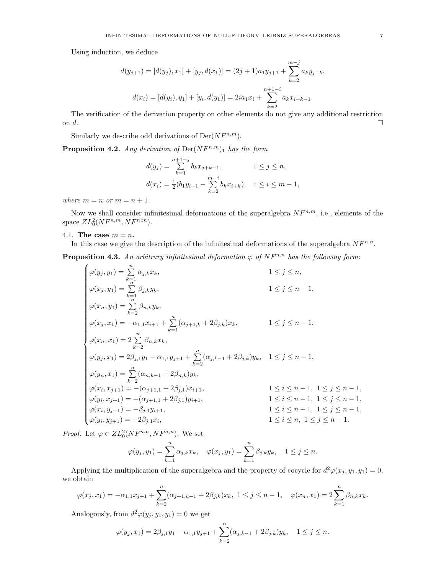Using induction, we deduce

$$
d(y_{j+1}) = [d(y_j), x_1] + [y_j, d(x_1)] = (2j+1)a_1y_{j+1} + \sum_{k=2}^{m-j} a_ky_{j+k},
$$
  

$$
d(x_i) = [d(y_i), y_1] + [y_i, d(y_1)] = 2ia_1x_i + \sum_{k=2}^{n+1-i} a_kx_{i+k-1}.
$$

The verification of the derivation property on other elements do not give any additional restriction on d.

Similarly we describe odd derivations of  $Der(NF^{n,m})$ .

**Proposition 4.2.** Any derivation of  $\text{Der}(NF^{n,m})_1$  has the form

$$
d(y_j) = \sum_{k=1}^{n+1-j} b_k x_{j+k-1}, \qquad 1 \le j \le n,
$$
  

$$
d(x_i) = \frac{1}{2}(b_1 y_{i+1} - \sum_{k=2}^{m-i} b_k x_{i+k}), \quad 1 \le i \le m-1,
$$

where  $m = n$  or  $m = n + 1$ .

Now we shall consider infinitesimal deformations of the superalgebra  $NF^{n,m}$ , i.e., elements of the space  $ZL_0^2(NF^{n,m},NF^{n,m}).$ 

# 4.1. The case  $m = n$ .

In this case we give the description of the infinitesimal deformations of the superalgebra  $NF^{n,n}$ .

<span id="page-6-0"></span>**Proposition 4.3.** An arbitrary infinitesimal deformation  $\varphi$  of  $NF^{n,n}$  has the following form:

$$
\begin{cases} \varphi(y_j,y_1)=\sum\limits_{k=1}^{n}\alpha_{j,k}x_k, & 1\leq j\leq n,\\ \varphi(x_j,y_1)=\sum\limits_{k=1}^{n}\beta_{j,k}y_k, & 1\leq j\leq n-1,\\ \varphi(x_n,y_1)=\sum\limits_{k=2}^{n}\beta_{n,k}y_k, & 1\leq j\leq n-1,\\ \varphi(x_j,x_1)=-\alpha_{1,1}x_{i+1}+\sum\limits_{k=1}^{n}(\alpha_{j+1,k}+2\beta_{j,k})x_k, & 1\leq j\leq n-1,\\ \varphi(x_n,x_1)=2\sum\limits_{k=2}^{n}\beta_{n,k}x_k, & 1\leq j\leq n-1,\\ \varphi(y_j,x_1)=2\beta_{j,1}y_1-\alpha_{1,1}y_{j+1}+\sum\limits_{k=2}^{n}(\alpha_{j,k-1}+2\beta_{j,k})y_k, & 1\leq j\leq n-1,\\ \varphi(y_n,x_1)=\sum\limits_{k=2}^{n}(\alpha_{n,k-1}+2\beta_{n,k})y_k, & 1\leq i\leq n-1,~ 1\leq j\leq n-1,\\ \varphi(y_i,x_{j+1})=-(\alpha_{j+1,1}+2\beta_{j,1})x_{i+1}, & 1\leq i\leq n-1,~ 1\leq j\leq n-1,\\ \varphi(x_i,y_{j+1})=-\beta_{j,1}y_{i+1}, & 1\leq i\leq n-1,~ 1\leq j\leq n-1,\\ \varphi(y_i,y_{j+1})=-\beta_{j,1}y_{i+1}, & 1\leq i\leq n-1,~ 1\leq j\leq n-1,\\ \varphi(y_i,y_{j+1})=-2\beta_{j,1}x_i, & 1\leq i\leq n,~ 1\leq j\leq n-1. \end{cases}
$$

*Proof.* Let  $\varphi \in ZL_0^2(NF^{n,n}, NF^{n,n})$ . We set

$$
\varphi(y_j, y_1) = \sum_{k=1}^n \alpha_{j,k} x_k, \quad \varphi(x_j, y_1) = \sum_{k=1}^n \beta_{j,k} y_k, \quad 1 \le j \le n.
$$

Applying the multiplication of the superalgebra and the property of cocycle for  $d^2\varphi(x_j, y_1, y_1) = 0$ , we obtain

$$
\varphi(x_j, x_1) = -\alpha_{1,1}x_{j+1} + \sum_{k=2}^n (\alpha_{j+1,k-1} + 2\beta_{j,k})x_k, \ 1 \le j \le n-1, \quad \varphi(x_n, x_1) = 2\sum_{k=1}^n \beta_{n,k}x_k.
$$

Analogously, from  $d^2\varphi(y_j, y_1, y_1) = 0$  we get

$$
\varphi(y_j, x_1) = 2\beta_{j,1}y_1 - \alpha_{1,1}y_{j+1} + \sum_{k=2}^n (\alpha_{j,k-1} + 2\beta_{j,k})y_k, \quad 1 \le j \le n.
$$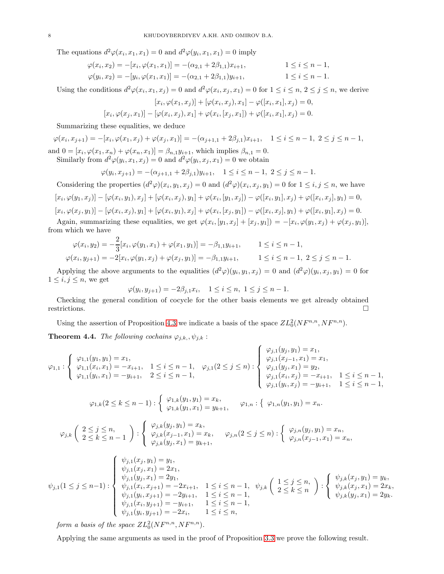The equations  $d^2\varphi(x_i, x_1, x_1) = 0$  and  $d^2\varphi(y_i, x_1, x_1) = 0$  imply

$$
\varphi(x_i, x_2) = -[x_i, \varphi(x_1, x_1)] = -(\alpha_{2,1} + 2\beta_{1,1})x_{i+1}, \qquad 1 \le i \le n-1,
$$
  

$$
\varphi(y_i, x_2) = -[y_i, \varphi(x_1, x_1)] = -(\alpha_{2,1} + 2\beta_{1,1})y_{i+1}, \qquad 1 \le i \le n-1.
$$

Using the conditions  $d^2\varphi(x_i, x_1, x_j) = 0$  and  $d^2\varphi(x_i, x_j, x_1) = 0$  for  $1 \le i \le n, 2 \le j \le n$ , we derive

$$
[x_i, \varphi(x_1, x_j)] + [\varphi(x_i, x_j), x_1] - \varphi([x_i, x_1], x_j) = 0,
$$
  

$$
[x_i, \varphi(x_j, x_1)] - [\varphi(x_i, x_j), x_1] + \varphi(x_i, [x_j, x_1]) + \varphi([x_i, x_1], x_j) = 0.
$$

Summarizing these equalities, we deduce

 $\varphi$ 

$$
\varphi(x_i, x_{j+1}) = -[x_i, \varphi(x_1, x_j) + \varphi(x_j, x_1)] = -(\alpha_{j+1,1} + 2\beta_{j,1})x_{i+1}, \quad 1 \le i \le n-1, \ 2 \le j \le n-1,
$$

and  $0 = [x_i, \varphi(x_1, x_n) + \varphi(x_n, x_1)] = \beta_{n,1} y_{i+1}$ , which implies  $\beta_{n,1} = 0$ .

Similarly from 
$$
d^2\varphi(y_i, x_1, x_j) = 0
$$
 and  $d^2\varphi(y_i, x_j, x_1) = 0$  we obtain

$$
\varphi(y_i, x_{j+1}) = -(\alpha_{j+1,1} + 2\beta_{j,1})y_{i+1}, \quad 1 \le i \le n-1, \ 2 \le j \le n-1.
$$

Considering the properties  $(d^2\varphi)(x_i, y_1, x_j) = 0$  and  $(d^2\varphi)(x_i, x_j, y_1) = 0$  for  $1 \le i, j \le n$ , we have  $[x_i, \varphi(y_1, x_j)] - [\varphi(x_i, y_1), x_j] + [\varphi(x_i, x_j), y_1] + \varphi(x_i, [y_1, x_j]) - \varphi([x_i, y_1], x_j) + \varphi([x_i, x_j], y_1) = 0,$  $[x_i, \varphi(x_j, y_1)] - [\varphi(x_i, x_j), y_1] + [\varphi(x_i, y_1), x_j] + \varphi(x_i, [x_j, y_1]) - \varphi([x_i, x_j], y_1) + \varphi([x_i, y_1], x_j) = 0.$ 

Again, summarizing these equalities, we get  $\varphi(x_i, [y_1, x_j] + [x_j, y_1]) = -[x_i, \varphi(y_1, x_j) + \varphi(x_j, y_1)],$ from which we have

$$
\varphi(x_i, y_2) = -\frac{2}{3} [x_i, \varphi(y_1, x_1) + \varphi(x_1, y_1)] = -\beta_{1,1} y_{i+1}, \qquad 1 \le i \le n-1,
$$
  

$$
\varphi(x_i, y_{j+1}) = -2[x_i, \varphi(y_1, x_j) + \varphi(x_j, y_1)] = -\beta_{1,1} y_{i+1}, \qquad 1 \le i \le n-1, \ 2 \le j \le n-1.
$$

Applying the above arguments to the equalities  $(d^2\varphi)(y_i, y_1, x_j) = 0$  and  $(d^2\varphi)(y_i, x_j, y_1) = 0$  for  $1 \leq i, j \leq n$ , we get

$$
\varphi(y_i, y_{j+1}) = -2\beta_{j,1}x_i, \quad 1 \le i \le n, \ 1 \le j \le n-1.
$$

Checking the general condition of cocycle for the other basis elements we get already obtained restrictions.  $\Box$ 

Using the assertion of Proposition [4.3](#page-6-0) we indicate a basis of the space  $ZL_0^2(NF^{n,n},NF^{n,n})$ .

**Theorem 4.4.** The following cochains  $\varphi_{j,k}$ ,  $\psi_{j,k}$ :

$$
\varphi_{1,1}: \left\{\begin{array}{l}\varphi_{1,1}(y_1,y_1)=x_1,\\\varphi_{1,1}(x_i,x_1)=-x_{i+1}, \quad 1\leq i\leq n-1,\\\varphi_{1,1}(y_i,x_1)=-y_{i+1}, \quad 2\leq i\leq n-1,\end{array}\right. \quad \varphi_{j,1}(2\leq j\leq n): \left\{\begin{array}{l}\varphi_{j,1}(y_j,y_1)=x_1,\\\varphi_{j,1}(x_{j-1},x_1)=x_1,\\\varphi_{j,1}(y_j,x_1)=y_2,\\\varphi_{j,1}(x_i,x_j)=-x_{i+1}, \quad 1\leq i\leq n-1,\\\varphi_{j,1}(y_i,x_j)=-y_{i+1}, \quad 1\leq i\leq n-1,\end{array}\right.
$$

$$
\varphi_{1,k}(2 \leq k \leq n-1) : \begin{cases} \varphi_{1,k}(y_1, y_1) = x_k, \\ \varphi_{1,k}(y_1, x_1) = y_{k+1}, \end{cases} \varphi_{1,n} : \{ \varphi_{1,n}(y_1, y_1) = x_n.
$$

$$
\varphi_{j,k}\left(\begin{array}{l}\n2 \leq j \leq n, \\
2 \leq k \leq n-1\n\end{array}\right) : \n\begin{cases}\n\varphi_{j,k}(y_j,y_1) = x_k, \\
\varphi_{j,k}(x_{j-1},x_1) = x_k, \\
\varphi_{j,k}(y_j,x_1) = y_{k+1},\n\end{cases}\n\varphi_{j,n}(2 \leq j \leq n) : \n\begin{cases}\n\varphi_{j,n}(y_j,y_1) = x_n, \\
\varphi_{j,n}(x_{j-1},x_1) = x_n,\n\end{cases}
$$

$$
\psi_{j,1}(1 \leq j \leq n-1) : \begin{cases} \psi_{j,1}(x_j, y_1) = y_1, \\ \psi_{j,1}(y_j, x_1) = 2x_1, \\ \psi_{j,1}(y_j, x_1) = 2y_1, \\ \psi_{j,1}(x_i, x_{j+1}) = -2x_{i+1}, \\ \psi_{j,1}(y_i, x_{j+1}) = -2y_{i+1}, \\ \psi_{j,1}(y_i, y_{j+1}) = -y_{i+1}, \\ \psi_{j,1}(y_i, y_{j+1}) = -2x_i, \\ \end{cases} \quad 1 \leq i \leq n-1, \quad \psi_{j,k}\left(\begin{array}{c} 1 \leq j \leq n, \\ 2 \leq k \leq n \end{array}\right) : \begin{cases} \psi_{j,k}(x_j, y_1) = y_k, \\ \psi_{j,k}(x_j, x_1) = 2x_k, \\ \psi_{j,k}(y_j, x_1) = 2y_k. \\ \psi_{j,k}(y_j, x_1) = 2y_k. \end{cases}
$$

form a basis of the space  $ZL_0^2(NF^{n,n},NF^{n,n}).$ 

Applying the same arguments as used in the proof of Proposition [3.3](#page-3-2) we prove the following result.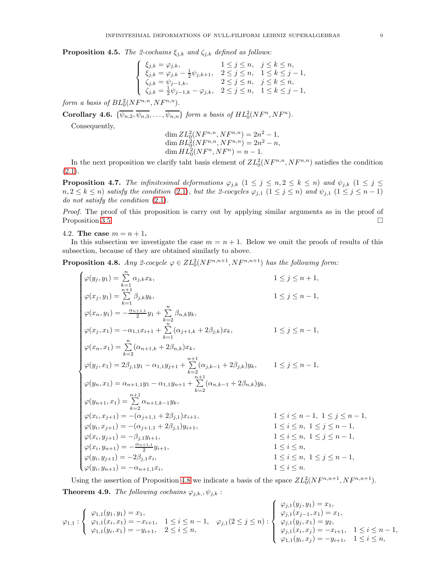**Proposition 4.5.** The 2-cochains  $\xi_{j,k}$  and  $\zeta_{j,k}$  defined as follows:

$$
\left\{\begin{array}{ll} \xi_{j,k}=\varphi_{j,k}, & 1\leq j\leq n, \quad j\leq k\leq n, \\ \xi_{j,k}=\varphi_{j,k}-\frac{1}{2}\psi_{j,k+1}, & 2\leq j\leq n, \quad 1\leq k\leq j-1, \\ \zeta_{j,k}=\psi_{j-1,k}, & 2\leq j\leq n, \quad j\leq k\leq n, \\ \zeta_{j,k}=\frac{1}{2}\psi_{j-1,k}-\varphi_{j,k}, & 2\leq j\leq n, \quad 1\leq k\leq j-1, \end{array}\right.
$$

form a basis of  $BL_0^2(NF^{n,n}, NF^{n,n}).$ 

**Corollary 4.6.**  $\{\overline{\psi_{n,2}, \psi_{n,3}, \ldots, \psi_{n,n}}\}$  form a basis of  $HL_0^2(NF^n, NF^n)$ .

Consequently,

$$
\dim ZL_0^2(NF^{n,n}, NF^{n,n}) = 2n^2 - 1,
$$
  
\n
$$
\dim BL_0^2(NF^{n,n}, NF^{n,n}) = 2n^2 - n,
$$
  
\n
$$
\dim HL_0^2(NF^n, NF^n) = n - 1.
$$

In the next proposition we clarify taht basis element of  $ZL_0^2(NF^{n,n},NF^{n,n})$  satisfies the condition  $(2.1).$  $(2.1).$ 

**Proposition 4.7.** The infinitesimal deformations  $\varphi_{j,k}$   $(1 \leq j \leq n, 2 \leq k \leq n)$  and  $\psi_{j,k}$   $(1 \leq j \leq n)$  $n, 2 \leq k \leq n$ ) satisfy the condition [\(2.1\)](#page-2-1), but the 2-cocycles  $\varphi_{j,1}$   $(1 \leq j \leq n)$  and  $\psi_{j,1}$   $(1 \leq j \leq n-1)$ do not satisfy the condition  $(2.1)$ .

Proof. The proof of this proposition is carry out by applying similar arguments as in the proof of Proposition [3.5.](#page-4-1)

4.2. The case  $m = n + 1$ .

 $\lambda$ 

In this subsection we investigate the case  $m = n + 1$ . Below we omit the proofs of results of this subsection, because of they are obtained similarly to above.

<span id="page-8-0"></span>**Proposition 4.8.** Any 2-cocycle  $\varphi \in ZL_0^2(NF^{n,n+1}, NF^{n,n+1})$  has the following form:

$$
\begin{cases}\n\varphi(y_j,y_1)=\sum\limits_{k=1}^{n} \alpha_{j,k} x_k, & 1\leq j \leq n+1, \\
\varphi(x_j,y_1)=\sum\limits_{k=1}^{n+1} \beta_{j,k} y_k, & 1\leq j \leq n-1, \\
\varphi(x_n,y_1)=-\frac{\alpha_{n+1,1}}{2}y_1+\sum\limits_{k=2}^{n} \beta_{n,k} y_k, & 1\leq j \leq n-1, \\
\varphi(x_j,x_1)=-\alpha_{1,1} x_{i+1}+\sum\limits_{k=1}^{n} (\alpha_{j+1,k}+2\beta_{j,k}) x_k, & 1\leq j \leq n-1, \\
\varphi(x_n,x_1)=\sum\limits_{k=2}^{n} (\alpha_{n+1,k}+2\beta_{n,k}) x_k, & 1\leq j \leq n-1, \\
\varphi(y_j,x_1)=2\beta_{j,1} y_1-\alpha_{1,1} y_{j+1}+\sum\limits_{k=2}^{n+1} (\alpha_{j,k-1}+2\beta_{j,k}) y_k, & 1\leq j \leq n-1, \\
\varphi(y_n,x_1)=\alpha_{n+1,1} y_1-\alpha_{1,1} y_{n+1}+\sum\limits_{k=2}^{n+1} (\alpha_{n,k-1}+2\beta_{n,k}) y_k, & 1\leq i \leq n-1, \\
\varphi(y_{n+1},x_1)=\sum\limits_{k=2}^{n+1} \alpha_{n+1,k-1} y_k, & 1\leq i \leq n-1, \ 1\leq j \leq n-1, \\
\varphi(x_i,x_{j+1})=-(\alpha_{j+1,1}+2\beta_{j,1}) x_{i+1}, & 1\leq i \leq n, \ 1\leq j \leq n-1, \\
\varphi(x_i,y_{j+1})=-\beta_{j,1} y_{i+1}, & 1\leq i \leq n, \ 1\leq j \leq n-1, \\
\varphi(x_i,y_{j+1})=-\beta_{j,1} y_{i+1}, & 1\leq i \leq n, \ 1\leq j \leq n-1, \\
\varphi(y_i,y_{j+1})=-2\beta_{j,1} x_i, & 1\leq i \leq n, \ 1\leq j \leq n-1, \\
\varphi(y_i,y_{j+1})=-\alpha_{n+1,1} x_i, &
$$

Using the assertion of Proposition [4.8](#page-8-0) we indicate a basis of the space  $ZL_0^2(NF^{n,n+1}, NF^{n,n+1})$ . **Theorem 4.9.** The following cochains  $\varphi_{j,k}$ ,  $\psi_{j,k}$ :

$$
\varphi_{1,1}: \left\{ \begin{array}{l} \varphi_{1,1}(y_1,y_1)=x_1,\\ \varphi_{1,1}(x_i,x_1)=-x_{i+1},\\ \varphi_{1,1}(y_i,x_1)=-y_{i+1}, \end{array} \right. \left. \begin{array}{l} 1 \leq i \leq n-1,\\ \varphi_{j,1}(2 \leq j \leq n):\\ \varphi_{j,1}(2 \leq j \leq n):\\ \varphi_{j,1}(y_j,x_1)=-y_2,\\ \varphi_{j,1}(x_i,x_j)=-x_{i+1},\\ \varphi_{1,1}(y_i,x_j)=-y_{i+1}, \end{array} \right. \left. \begin{array}{l} \varphi_{j,1}(y_j,y_1)=x_1,\\ \varphi_{j,1}(x_{j-1},x_1)=x_1,\\ \varphi_{j,1}(y_j,x_1)=y_2,\\ \varphi_{j,1}(x_i,x_j)=-x_{i+1}, \end{array} \right. \left. \begin{array}{l} 1 \leq i \leq n-1,\\ \varphi_{j,1}(y_j,x_1)=y_2,\\ \varphi_{j,1}(y_i,x_j)=-x_{i+1}, \end{array} \right.
$$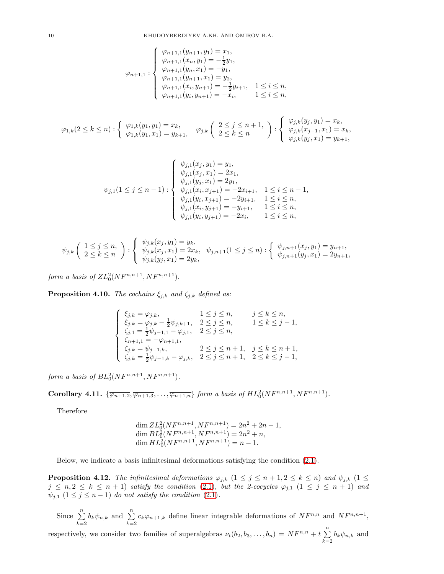$$
\varphi_{n+1,1} : \begin{cases}\n\varphi_{n+1,1}(y_{n+1}, y_1) = x_1, \\
\varphi_{n+1,1}(x_n, y_1) = -\frac{1}{2}y_1, \\
\varphi_{n+1,1}(y_n, x_1) = -y_1, \\
\varphi_{n+1,1}(y_{n+1}, x_1) = y_2, \\
\varphi_{n+1,1}(x_i, y_{n+1}) = -\frac{1}{2}y_{i+1}, \quad 1 \le i \le n, \\
\varphi_{n+1,1}(y_i, y_{n+1}) = -x_i, \quad 1 \le i \le n,\n\end{cases}
$$

$$
\varphi_{1,k}(2 \leq k \leq n) : \begin{cases} \varphi_{1,k}(y_1, y_1) = x_k, \\ \varphi_{1,k}(y_1, x_1) = y_{k+1}, \end{cases} \varphi_{j,k}\begin{pmatrix} 2 \leq j \leq n+1, \\ 2 \leq k \leq n \end{pmatrix} : \begin{cases} \varphi_{j,k}(y_j, y_1) = x_k, \\ \varphi_{j,k}(x_{j-1}, x_1) = x_k, \\ \varphi_{j,k}(y_j, x_1) = y_{k+1}, \end{cases}
$$

$$
\psi_{j,1}(1 \leq j \leq n-1) : \begin{cases} \psi_{j,1}(x_j, y_1) = y_1, \\ \psi_{j,1}(x_j, x_1) = 2x_1, \\ \psi_{j,1}(y_j, x_1) = 2y_1, \\ \psi_{j,1}(x_i, x_{j+1}) = -2x_{i+1}, 1 \leq i \leq n-1, \\ \psi_{j,1}(y_i, x_{j+1}) = -2y_{i+1}, 1 \leq i \leq n, \\ \psi_{j,1}(x_i, y_{j+1}) = -y_{i+1}, 1 \leq i \leq n, \\ \psi_{j,1}(y_i, y_{j+1}) = -2x_i, 1 \leq i \leq n, \end{cases}
$$

$$
\psi_{j,k}\left(\begin{array}{c}1\leq j\leq n,\\\ 2\leq k\leq n\end{array}\right):\begin{cases}\psi_{j,k}(x_j,y_1)=y_k,\\\psi_{j,k}(x_j,x_1)=2x_k,\\\psi_{j,k+1}(1\leq j\leq n):\begin{cases}\psi_{j,n+1}(x_j,y_1)=y_{n+1},\\\psi_{j,n+1}(y_j,x_1)=2y_{n+1},\end{cases}
$$

form a basis of  $ZL_0^2(NF^{n,n+1}, NF^{n,n+1}).$ 

**Proposition 4.10.** The cochains  $\xi_{j,k}$  and  $\zeta_{j,k}$  defined as:

$$
\left\{\begin{array}{ll} \xi_{j,k}=\varphi_{j,k}, & 1\leq j\leq n, & j\leq k\leq n,\\ \xi_{j,k}=\varphi_{j,k}-\frac{1}{2}\psi_{j,k+1}, & 2\leq j\leq n, & 1\leq k\leq j-1,\\ \zeta_{j,1}=\frac{1}{2}\psi_{j-1,1}-\varphi_{j,1}, & 2\leq j\leq n,\\ \zeta_{n+1,1}=-\varphi_{n+1,1}, & 2\leq j\leq n+1, & j\leq k\leq n+1,\\ \zeta_{j,k}=\psi_{j-1,k}, & 2\leq j\leq n+1, & 2\leq k\leq j-1,\\ \end{array}\right.
$$

form a basis of  $BL_0^2(NF^{n,n+1}, NF^{n,n+1}).$ 

**Corollary 4.11.**  $\{\overline{\varphi_{n+1,2}}, \overline{\varphi_{n+1,3}}, \ldots, \overline{\varphi_{n+1,n}}\}$  form a basis of  $HL_0^2(NF^{n,n+1}, NF^{n,n+1})$ .

Therefore

$$
\dim ZL_0^2(NF^{n,n+1}, NF^{n,n+1}) = 2n^2 + 2n - 1,
$$
  
\n
$$
\dim BL_0^2(NF^{n,n+1}, NF^{n,n+1}) = 2n^2 + n,
$$
  
\n
$$
\dim HL_0^2(NF^{n,n+1}, NF^{n,n+1}) = n - 1.
$$

Below, we indicate a basis infinitesimal deformations satisfying the condition [\(2.1\)](#page-2-1).

**Proposition 4.12.** The infinitesimal deformations  $\varphi_{j,k}$   $(1 \leq j \leq n+1, 2 \leq k \leq n)$  and  $\psi_{j,k}$   $(1 \leq j \leq n+1, 2 \leq k \leq n)$  $j \leq n, 2 \leq k \leq n+1$ ) satisfy the condition [\(2.1\)](#page-2-1), but the 2-cocycles  $\varphi_{j,1}$   $(1 \leq j \leq n+1)$  and  $\psi_{j,1}$   $(1 \leq j \leq n-1)$  do not satisfy the condition  $(2.1)$ .

Since  $\sum_{n=1}^{\infty}$  $\sum_{k=2}^{n} b_k \psi_{n,k}$  and  $\sum_{k=2}^{n} c_k \varphi_{n+1,k}$  define linear integrable deformations of  $N F^{n,n}$  and  $N F^{n,n+1}$ ,

respectively, we consider two families of superalgebras  $\nu_t(b_2, b_3, \ldots, b_n) = NF^{n,n} + t \sum_{i=1}^n$  $\sum_{k=2} b_k \psi_{n,k}$  and